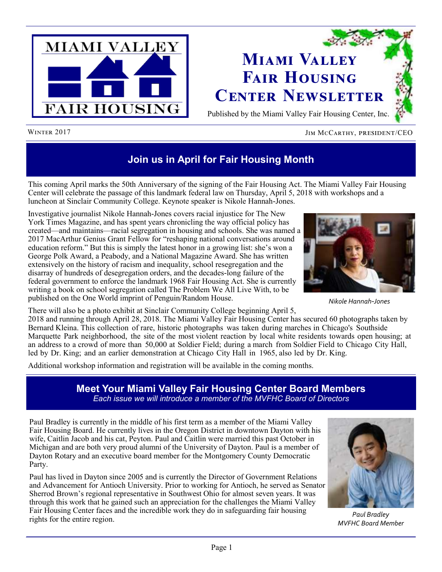



### WINTER 2017 **JIM MCCARTHY, PRESIDENT/CEO**

# **Join us in April for Fair Housing Month**

This coming April marks the 50th Anniversary of the signing of the Fair Housing Act. The Miami Valley Fair Housing Center will celebrate the passage of this landmark federal law on Thursday, April 5, 2018 with workshops and a luncheon at Sinclair Community College. Keynote speaker is Nikole Hannah-Jones.

Investigative journalist Nikole Hannah-Jones covers racial injustice for The New York Times Magazine, and has spent years chronicling the way official policy has created—and maintains—racial segregation in housing and schools. She was named a 2017 MacArthur Genius Grant Fellow for "reshaping national conversations around education reform." But this is simply the latest honor in a growing list: she's won a George Polk Award, a Peabody, and a National Magazine Award. She has written extensively on the history of racism and inequality, school resegregation and the disarray of hundreds of desegregation orders, and the decades-long failure of the federal government to enforce the landmark 1968 Fair Housing Act. She is currently writing a book on school segregation called The Problem We All Live With, to be published on the One World imprint of Penguin/Random House.



*Nikole Hannah-Jones*

There will also be a photo exhibit at Sinclair Community College beginning April 5,

2018 and running through April 28, 2018. The Miami Valley Fair Housing Center has secured 60 photographs taken by Bernard Kleina. This collection of rare, historic photographs was taken during marches in Chicago's Southside Marquette Park neighborhood, the site of the most violent reaction by local white residents towards open housing; at an address to a crowd of more than 50,000 at Soldier Field; during a march from Soldier Field to Chicago City Hall, led by Dr. King; and an earlier demonstration at Chicago City Hall in 1965, also led by Dr. King.

Additional workshop information and registration will be available in the coming months.

## **Meet Your Miami Valley Fair Housing Center Board Members** *Each issue we will introduce a member of the MVFHC Board of Directors*

Paul Bradley is currently in the middle of his first term as a member of the Miami Valley Fair Housing Board. He currently lives in the Oregon District in downtown Dayton with his wife, Caitlin Jacob and his cat, Peyton. Paul and Caitlin were married this past October in Michigan and are both very proud alumni of the University of Dayton. Paul is a member of Dayton Rotary and an executive board member for the Montgomery County Democratic Party.

Paul has lived in Dayton since 2005 and is currently the Director of Government Relations and Advancement for Antioch University. Prior to working for Antioch, he served as Senator Sherrod Brown's regional representative in Southwest Ohio for almost seven years. It was through this work that he gained such an appreciation for the challenges the Miami Valley Fair Housing Center faces and the incredible work they do in safeguarding fair housing rights for the entire region. *Paul Bradley* rights for the entire region.



*MVFHC Board Member*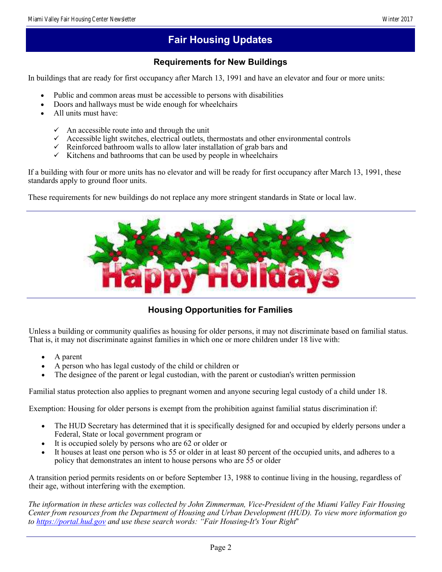## **Fair Housing Updates**

## **Requirements for New Buildings**

In buildings that are ready for first occupancy after March 13, 1991 and have an elevator and four or more units:

- Public and common areas must be accessible to persons with disabilities
- Doors and hallways must be wide enough for wheelchairs
- All units must have:
	- $\checkmark$  An accessible route into and through the unit
	- $\checkmark$  Accessible light switches, electrical outlets, thermostats and other environmental controls
	- $\checkmark$  Reinforced bathroom walls to allow later installation of grab bars and
	- $\checkmark$  Kitchens and bathrooms that can be used by people in wheelchairs

If a building with four or more units has no elevator and will be ready for first occupancy after March 13, 1991, these standards apply to ground floor units.

These requirements for new buildings do not replace any more stringent standards in State or local law.



## **Housing Opportunities for Families**

Unless a building or community qualifies as housing for older persons, it may not discriminate based on familial status. That is, it may not discriminate against families in which one or more children under 18 live with:

- A parent
- A person who has legal custody of the child or children or
- The designee of the parent or legal custodian, with the parent or custodian's written permission

Familial status protection also applies to pregnant women and anyone securing legal custody of a child under 18.

Exemption: Housing for older persons is exempt from the prohibition against familial status discrimination if:

- The HUD Secretary has determined that it is specifically designed for and occupied by elderly persons under a Federal, State or local government program or
- It is occupied solely by persons who are 62 or older or
- It houses at least one person who is 55 or older in at least 80 percent of the occupied units, and adheres to a policy that demonstrates an intent to house persons who are 55 or older

A transition period permits residents on or before September 13, 1988 to continue living in the housing, regardless of their age, without interfering with the exemption.

*The information in these articles was collected by John Zimmerman, Vice-President of the Miami Valley Fair Housing Center from resources from the Department of Housing and Urban Development (HUD). To view more information go to <https://portal.hud.gov> and use these search words: "Fair Housing-It's Your Right*"